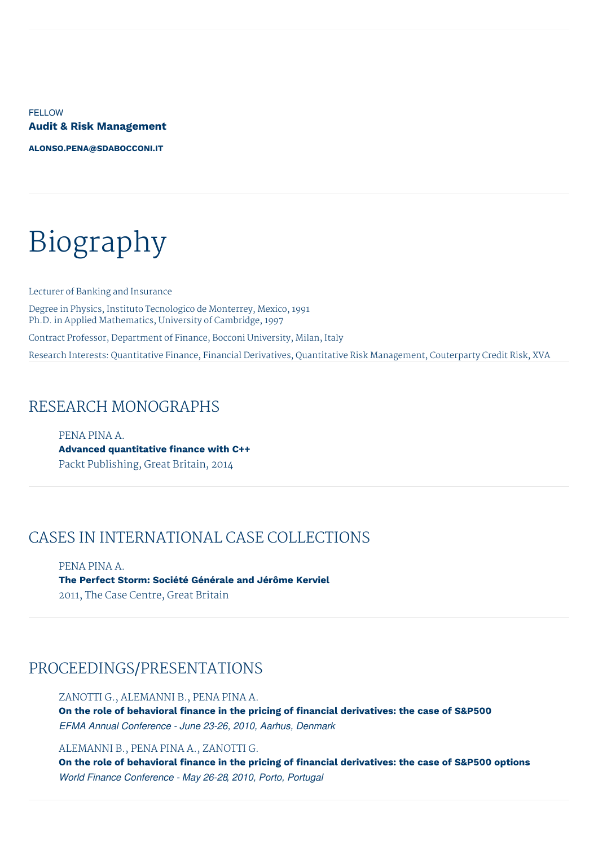**FELLOW Audit & Risk Management**

**[ALONSO.PENA@SDABOCCONI.IT](mailto:alonso.pena@sdabocconi.it)**

# Biography

Lecturer of Banking and Insurance Degree in Physics, Instituto Tecnologico de Monterrey, Mexico, 1991 Ph.D. in Applied Mathematics, University of Cambridge, 1997 Contract Professor, Department of Finance, Bocconi University, Milan, Italy Research Interests: Quantitative Finance, Financial Derivatives, Quantitative Risk Management, Couterparty Credit Risk, XVA

#### RESEARCH MONOGRAPHS

PENA PINA A. **Advanced quantitative finance with C++** Packt Publishing, Great Britain, 2014

### CASES IN INTERNATIONAL CASE COLLECTIONS

PENA PINA A. **The Perfect Storm: Société Générale and Jérôme Kerviel** 2011, The Case Centre, Great Britain

#### PROCEEDINGS/PRESENTATIONS

ZANOTTI G., ALEMANNI B., PENA PINA A. **On the role of behavioral finance in the pricing of financial derivatives: the case of S&P500** *EFMA Annual Conference - June 23-26, 2010, Aarhus, Denmark*

ALEMANNI B., PENA PINA A., ZANOTTI G.

**On the role of behavioral finance in the pricing of financial derivatives: the case of S&P500 options** *World Finance Conference - May 26-28, 2010, Porto, Portugal*